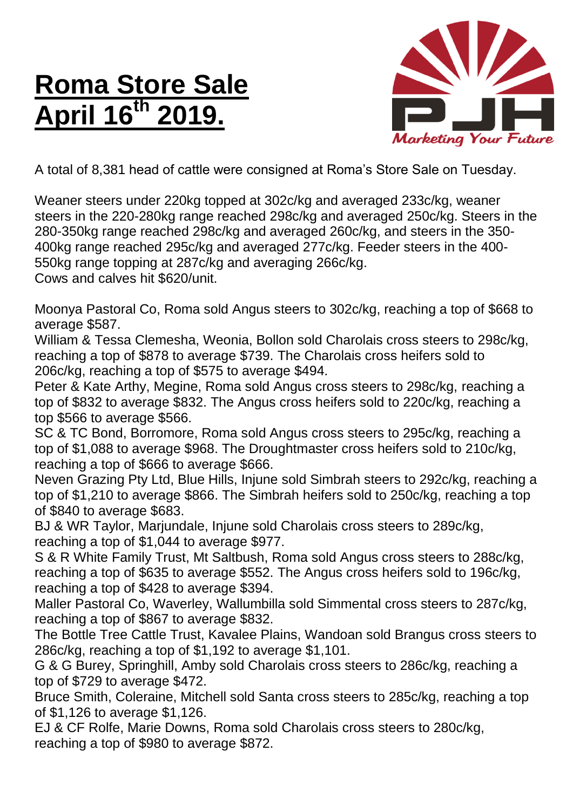## **Roma Store Sale April 16 th 2019.**



A total of 8,381 head of cattle were consigned at Roma's Store Sale on Tuesday.

Weaner steers under 220kg topped at 302c/kg and averaged 233c/kg, weaner steers in the 220-280kg range reached 298c/kg and averaged 250c/kg. Steers in the 280-350kg range reached 298c/kg and averaged 260c/kg, and steers in the 350- 400kg range reached 295c/kg and averaged 277c/kg. Feeder steers in the 400- 550kg range topping at 287c/kg and averaging 266c/kg. Cows and calves hit \$620/unit.

Moonya Pastoral Co, Roma sold Angus steers to 302c/kg, reaching a top of \$668 to average \$587.

William & Tessa Clemesha, Weonia, Bollon sold Charolais cross steers to 298c/kg, reaching a top of \$878 to average \$739. The Charolais cross heifers sold to 206c/kg, reaching a top of \$575 to average \$494.

Peter & Kate Arthy, Megine, Roma sold Angus cross steers to 298c/kg, reaching a top of \$832 to average \$832. The Angus cross heifers sold to 220c/kg, reaching a top \$566 to average \$566.

SC & TC Bond, Borromore, Roma sold Angus cross steers to 295c/kg, reaching a top of \$1,088 to average \$968. The Droughtmaster cross heifers sold to 210c/kg, reaching a top of \$666 to average \$666.

Neven Grazing Pty Ltd, Blue Hills, Injune sold Simbrah steers to 292c/kg, reaching a top of \$1,210 to average \$866. The Simbrah heifers sold to 250c/kg, reaching a top of \$840 to average \$683.

BJ & WR Taylor, Marjundale, Injune sold Charolais cross steers to 289c/kg, reaching a top of \$1,044 to average \$977.

S & R White Family Trust, Mt Saltbush, Roma sold Angus cross steers to 288c/kg, reaching a top of \$635 to average \$552. The Angus cross heifers sold to 196c/kg, reaching a top of \$428 to average \$394.

Maller Pastoral Co, Waverley, Wallumbilla sold Simmental cross steers to 287c/kg, reaching a top of \$867 to average \$832.

The Bottle Tree Cattle Trust, Kavalee Plains, Wandoan sold Brangus cross steers to 286c/kg, reaching a top of \$1,192 to average \$1,101.

G & G Burey, Springhill, Amby sold Charolais cross steers to 286c/kg, reaching a top of \$729 to average \$472.

Bruce Smith, Coleraine, Mitchell sold Santa cross steers to 285c/kg, reaching a top of \$1,126 to average \$1,126.

EJ & CF Rolfe, Marie Downs, Roma sold Charolais cross steers to 280c/kg, reaching a top of \$980 to average \$872.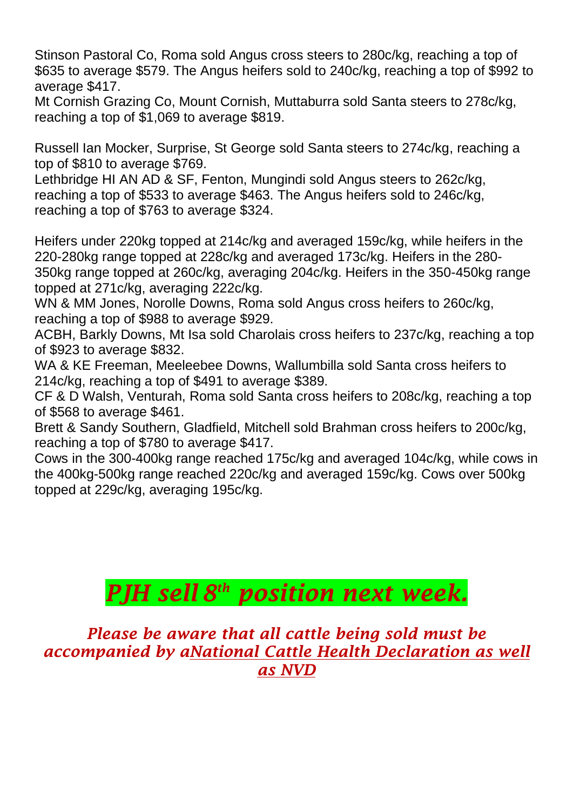Stinson Pastoral Co, Roma sold Angus cross steers to 280c/kg, reaching a top of \$635 to average \$579. The Angus heifers sold to 240c/kg, reaching a top of \$992 to average \$417.

Mt Cornish Grazing Co, Mount Cornish, Muttaburra sold Santa steers to 278c/kg, reaching a top of \$1,069 to average \$819.

Russell Ian Mocker, Surprise, St George sold Santa steers to 274c/kg, reaching a top of \$810 to average \$769.

Lethbridge HI AN AD & SF, Fenton, Mungindi sold Angus steers to 262c/kg, reaching a top of \$533 to average \$463. The Angus heifers sold to 246c/kg, reaching a top of \$763 to average \$324.

Heifers under 220kg topped at 214c/kg and averaged 159c/kg, while heifers in the 220-280kg range topped at 228c/kg and averaged 173c/kg. Heifers in the 280- 350kg range topped at 260c/kg, averaging 204c/kg. Heifers in the 350-450kg range topped at 271c/kg, averaging 222c/kg.

WN & MM Jones, Norolle Downs, Roma sold Angus cross heifers to 260c/kg, reaching a top of \$988 to average \$929.

ACBH, Barkly Downs, Mt Isa sold Charolais cross heifers to 237c/kg, reaching a top of \$923 to average \$832.

WA & KE Freeman, Meeleebee Downs, Wallumbilla sold Santa cross heifers to 214c/kg, reaching a top of \$491 to average \$389.

CF & D Walsh, Venturah, Roma sold Santa cross heifers to 208c/kg, reaching a top of \$568 to average \$461.

Brett & Sandy Southern, Gladfield, Mitchell sold Brahman cross heifers to 200c/kg, reaching a top of \$780 to average \$417.

Cows in the 300-400kg range reached 175c/kg and averaged 104c/kg, while cows in the 400kg-500kg range reached 220c/kg and averaged 159c/kg. Cows over 500kg topped at 229c/kg, averaging 195c/kg.

## *PJH sell 8 th position next week.*

*Please be aware that all cattle being sold must be accompanied by aNational Cattle Health Declaration as well as NVD*